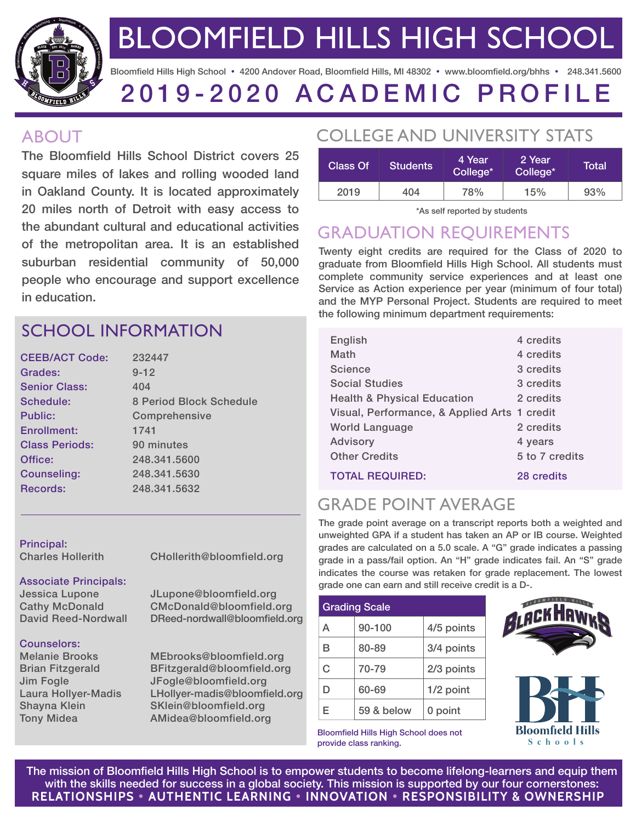

BLOOMFIELD HILLS HIGH SCHOOL

Bloomfield Hills High School · 4200 Andover Road, Bloomfield Hills, MI 48302 · www.bloomfield.org/bhhs · 248.341.5600

# 2019-2020 ACADEMIC PROFILE

#### ABOUT

The Bloomfield Hills School District covers 25 square miles of lakes and rolling wooded land in Oakland County. It is located approximately 20 miles north of Detroit with easy access to the abundant cultural and educational activities of the metropolitan area. It is an established suburban residential community of 50,000 people who encourage and support excellence in education.

## SCHOOL INFORMATION

| <b>CEEB/ACT Code:</b> | 232447                  |  |
|-----------------------|-------------------------|--|
| Grades:               | $9 - 12$                |  |
| <b>Senior Class:</b>  | 404                     |  |
| Schedule:             | 8 Period Block Schedule |  |
| Public:               | Comprehensive           |  |
| Enrollment:           | 1741                    |  |
| <b>Class Periods:</b> | 90 minutes              |  |
| Office:               | 248,341,5600            |  |
| Counseling:           | 248.341.5630            |  |
| Records:              | 248,341,5632            |  |
|                       |                         |  |

Principal:

Charles Hollerith CHollerith@bloomfield.org

#### Associate Principals:

Jessica Lupone JLupone@bloomfield.org Cathy McDonald CMcDonald@bloomfield.org David Reed-Nordwall DReed-nordwall@bloomfield.org

#### Counselors:

Melanie Brooks MEbrooks@bloomfield.org Brian Fitzgerald BFitzgerald@bloomfield.org Jim Fogle JFogle@bloomfield.org Laura Hollyer-Madis LHollyer-madis@bloomfield.org Shayna Klein SKlein@bloomfield.org Tony Midea **AMidea@bloomfield.org** 

## COLLEGE AND UNIVERSITY STATS

| Class Of | <b>Students</b> | 4 Year<br>College* | 2 Year<br>College* | Total |
|----------|-----------------|--------------------|--------------------|-------|
| 2019     | 404             | 78%                | 15%                | 93%   |

\*As self reported by students

# GRADUATION REQUIREMENTS

Twenty eight credits are required for the Class of 2020 to graduate from Bloomfield Hills High School. All students must complete community service experiences and at least one Service as Action experience per year (minimum of four total) and the MYP Personal Project. Students are required to meet the following minimum department requirements:

| English                                      | 4 credits      |
|----------------------------------------------|----------------|
| Math                                         | 4 credits      |
| Science                                      | 3 credits      |
| <b>Social Studies</b>                        | 3 credits      |
| <b>Health &amp; Physical Education</b>       | 2 credits      |
| Visual, Performance, & Applied Arts 1 credit |                |
| <b>World Language</b>                        | 2 credits      |
| <b>Advisory</b>                              | 4 years        |
| <b>Other Credits</b>                         | 5 to 7 credits |
| <b>TOTAL REQUIRED:</b>                       | 28 credits     |

# GRADE POINT AVERAGE

The grade point average on a transcript reports both a weighted and unweighted GPA if a student has taken an AP or IB course. Weighted grades are calculated on a 5.0 scale. A "G" grade indicates a passing grade in a pass/fail option. An "H" grade indicates fail. An "S" grade indicates the course was retaken for grade replacement. The lowest grade one can earn and still receive credit is a D-.

| <b>Grading Scale</b> |            |            |  |  |
|----------------------|------------|------------|--|--|
| A                    | 90-100     | 4/5 points |  |  |
| в                    | 80-89      | 3/4 points |  |  |
| C.                   | 70-79      | 2/3 points |  |  |
| D                    | 60-69      | 1/2 point  |  |  |
| F                    | 59 & below | 0 point    |  |  |

Bloomfield Hills High School does not provide class ranking.





**RELATIONSHIPS AUTHENTIC LEARNING INNOVATION RESPONSIBILITY & OWNERSHIP** The mission of Bloomfield Hills High School is to empower students to become lifelong-learners and equip them with the skills needed for success in a global society. This mission is supported by our four cornerstones: